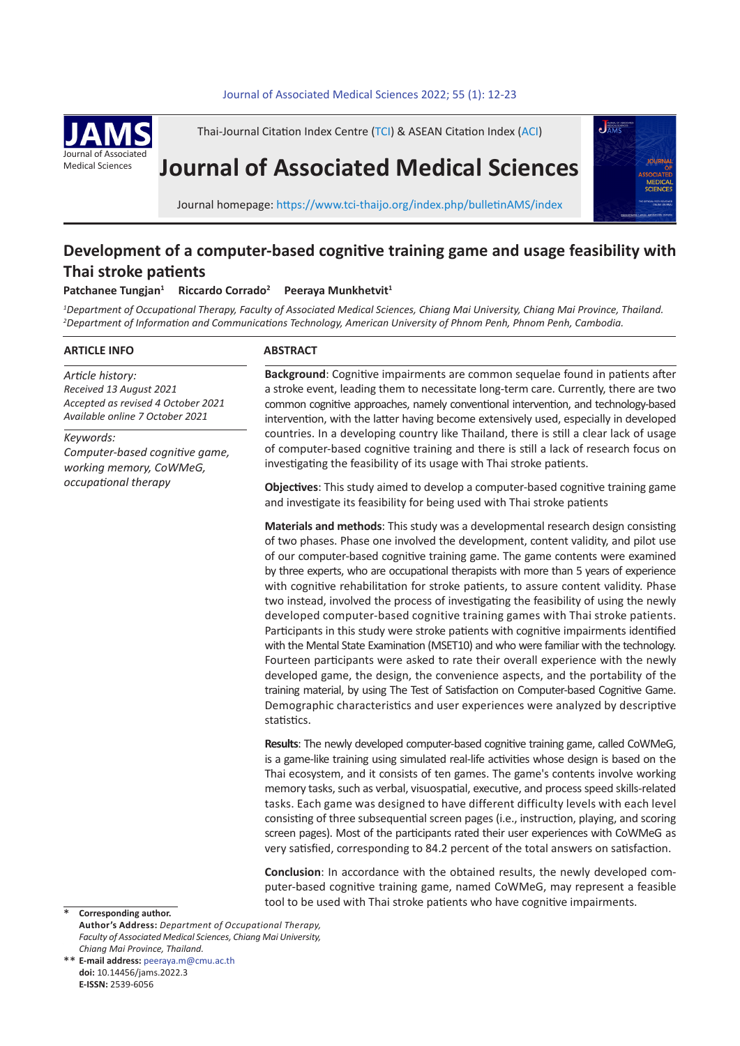### 12 *P. Tungjan et al* Journal of Associated Medical Sciences 2022; 55 (1): 12-23 **.** Journal of Associated Medical Sciences 2022; 55(1): 12-23



Thai-Journal Citation Index Centre (TCI) & ASEAN Citation Index (ACI)

# **Journal of Associated Medical Sciences**



Journal homepage: https://www.tci-thaijo.org/index.php/bulletinAMS/index

## **Development of a computer-based cognitive training game and usage feasibility with Thai stroke patients**

#### **Patchanee Tungjan<sup>1</sup> Riccardo Corrado2 Peeraya Munkhetvit<sup>1</sup>**

<sup>1</sup>Department of Occupational Therapy, Faculty of Associated Medical Sciences, Chiang Mai University, Chiang Mai Province, Thailand. *2 Department of Information and Communications Technology, American University of Phnom Penh, Phnom Penh, Cambodia.* 

### **ARTICLE INFO**

*Article history: Received 13 August 2021 Accepted as revised 4 October 2021 Available online 7 October 2021*

*Keywords: Computer-based cognitive game, working memory, CoWMeG, occupational therapy*

## **ABSTRACT**

**Background**: Cognitive impairments are common sequelae found in patients after a stroke event, leading them to necessitate long-term care. Currently, there are two common cognitive approaches, namely conventional intervention, and technology-based intervention, with the latter having become extensively used, especially in developed countries. In a developing country like Thailand, there is still a clear lack of usage of computer-based cognitive training and there is still a lack of research focus on investigating the feasibility of its usage with Thai stroke patients.

**Objectives**: This study aimed to develop a computer-based cognitive training game and investigate its feasibility for being used with Thai stroke patients

**Materials and methods**: This study was a developmental research design consisting of two phases. Phase one involved the development, content validity, and pilot use of our computer-based cognitive training game. The game contents were examined by three experts, who are occupational therapists with more than 5 years of experience with cognitive rehabilitation for stroke patients, to assure content validity. Phase two instead, involved the process of investigating the feasibility of using the newly developed computer-based cognitive training games with Thai stroke patients. Participants in this study were stroke patients with cognitive impairments identified with the Mental State Examination (MSET10) and who were familiar with the technology. Fourteen participants were asked to rate their overall experience with the newly developed game, the design, the convenience aspects, and the portability of the training material, by using The Test of Satisfaction on Computer-based Cognitive Game. Demographic characteristics and user experiences were analyzed by descriptive statistics.

**Results**: The newly developed computer-based cognitive training game, called CoWMeG, is a game-like training using simulated real-life activities whose design is based on the Thai ecosystem, and it consists of ten games. The game's contents involve working memory tasks, such as verbal, visuospatial, executive, and process speed skills-related tasks. Each game was designed to have different difficulty levels with each level consisting of three subsequential screen pages (i.e., instruction, playing, and scoring screen pages). Most of the participants rated their user experiences with CoWMeG as very satisfied, corresponding to 84.2 percent of the total answers on satisfaction.

**Conclusion**: In accordance with the obtained results, the newly developed computer-based cognitive training game, named CoWMeG, may represent a feasible tool to be used with Thai stroke patients who have cognitive impairments.

**Corresponding author. Author's Address:** *Department of Occupational Therapy, Faculty of Associated Medical Sciences, Chiang Mai University, Chiang Mai Province, Thailand.* \*

**E-mail address:** peeraya.m@cmu.ac.th \*\***doi:** 10.14456/jams.2022.3 **E-ISSN:** 2539-6056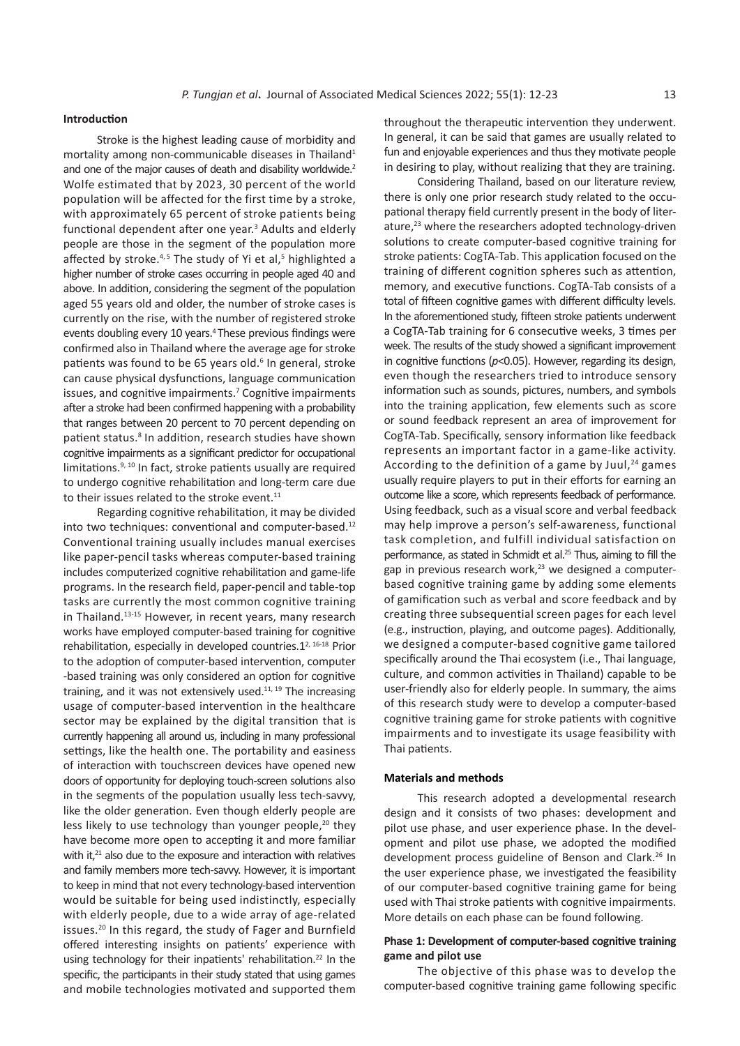#### **Introduction**

Stroke is the highest leading cause of morbidity and mortality among non-communicable diseases in Thailand<sup>1</sup> and one of the major causes of death and disability worldwide.<sup>2</sup> Wolfe estimated that by 2023, 30 percent of the world population will be affected for the first time by a stroke, with approximately 65 percent of stroke patients being functional dependent after one year.<sup>3</sup> Adults and elderly people are those in the segment of the population more affected by stroke.<sup>4,5</sup> The study of Yi et al,<sup>5</sup> highlighted a higher number of stroke cases occurring in people aged 40 and above. In addition, considering the segment of the population aged 55 years old and older, the number of stroke cases is currently on the rise, with the number of registered stroke events doubling every 10 years.<sup>4</sup> These previous findings were confirmed also in Thailand where the average age for stroke patients was found to be 65 years old.<sup>6</sup> In general, stroke can cause physical dysfunctions, language communication issues, and cognitive impairments.<sup>7</sup> Cognitive impairments after a stroke had been confirmed happening with a probability that ranges between 20 percent to 70 percent depending on patient status.<sup>8</sup> In addition, research studies have shown cognitive impairments as a significant predictor for occupational limitations.<sup>9, 10</sup> In fact, stroke patients usually are required to undergo cognitive rehabilitation and long-term care due to their issues related to the stroke event. $11$ 

Regarding cognitive rehabilitation, it may be divided into two techniques: conventional and computer-based.<sup>12</sup> Conventional training usually includes manual exercises like paper-pencil tasks whereas computer-based training includes computerized cognitive rehabilitation and game-life programs. In the research field, paper-pencil and table-top tasks are currently the most common cognitive training in Thailand.<sup>13-15</sup> However, in recent years, many research works have employed computer-based training for cognitive rehabilitation, especially in developed countries. $1^{2, 16 \cdot 18}$  Prior to the adoption of computer-based intervention, computer -based training was only considered an option for cognitive training, and it was not extensively used. $11, 19$  The increasing usage of computer-based intervention in the healthcare sector may be explained by the digital transition that is currently happening all around us, including in many professional settings, like the health one. The portability and easiness of interaction with touchscreen devices have opened new doors of opportunity for deploying touch-screen solutions also in the segments of the population usually less tech-savvy, like the older generation. Even though elderly people are less likely to use technology than younger people, $20$  they have become more open to accepting it and more familiar with it, $21$  also due to the exposure and interaction with relatives and family members more tech-savvy. However, it is important to keep in mind that not every technology-based intervention would be suitable for being used indistinctly, especially with elderly people, due to a wide array of age-related issues.<sup>20</sup> In this regard, the study of Fager and Burnfield offered interesting insights on patients' experience with using technology for their inpatients' rehabilitation.<sup>22</sup> In the specific, the participants in their study stated that using games and mobile technologies motivated and supported them

throughout the therapeutic intervention they underwent. In general, it can be said that games are usually related to fun and enjoyable experiences and thus they motivate people in desiring to play, without realizing that they are training.

Considering Thailand, based on our literature review, there is only one prior research study related to the occupational therapy field currently present in the body of literature,<sup>23</sup> where the researchers adopted technology-driven solutions to create computer-based cognitive training for stroke patients: CogTA-Tab. This application focused on the training of different cognition spheres such as attention, memory, and executive functions. CogTA-Tab consists of a total of fifteen cognitive games with different difficulty levels. In the aforementioned study, fifteen stroke patients underwent a CogTA-Tab training for 6 consecutive weeks, 3 times per week. The results of the study showed a significant improvement in cognitive functions (*p*<0.05). However, regarding its design, even though the researchers tried to introduce sensory information such as sounds, pictures, numbers, and symbols into the training application, few elements such as score or sound feedback represent an area of improvement for CogTA-Tab. Specifically, sensory information like feedback represents an important factor in a game-like activity. According to the definition of a game by Juul, $24$  games usually require players to put in their efforts for earning an outcome like a score, which represents feedback of performance. Using feedback, such as a visual score and verbal feedback may help improve a person's self-awareness, functional task completion, and fulfill individual satisfaction on performance, as stated in Schmidt et al.<sup>25</sup> Thus, aiming to fill the gap in previous research work,<sup>23</sup> we designed a computerbased cognitive training game by adding some elements of gamification such as verbal and score feedback and by creating three subsequential screen pages for each level (e.g., instruction, playing, and outcome pages). Additionally, we designed a computer-based cognitive game tailored specifically around the Thai ecosystem (i.e., Thai language, culture, and common activities in Thailand) capable to be user-friendly also for elderly people. In summary, the aims of this research study were to develop a computer-based cognitive training game for stroke patients with cognitive impairments and to investigate its usage feasibility with Thai patients.

#### **Materials and methods**

This research adopted a developmental research design and it consists of two phases: development and pilot use phase, and user experience phase. In the development and pilot use phase, we adopted the modified development process guideline of Benson and Clark.26 In the user experience phase, we investigated the feasibility of our computer-based cognitive training game for being used with Thai stroke patients with cognitive impairments. More details on each phase can be found following.

#### **Phase 1: Development of computer-based cognitive training game and pilot use**

The objective of this phase was to develop the computer-based cognitive training game following specific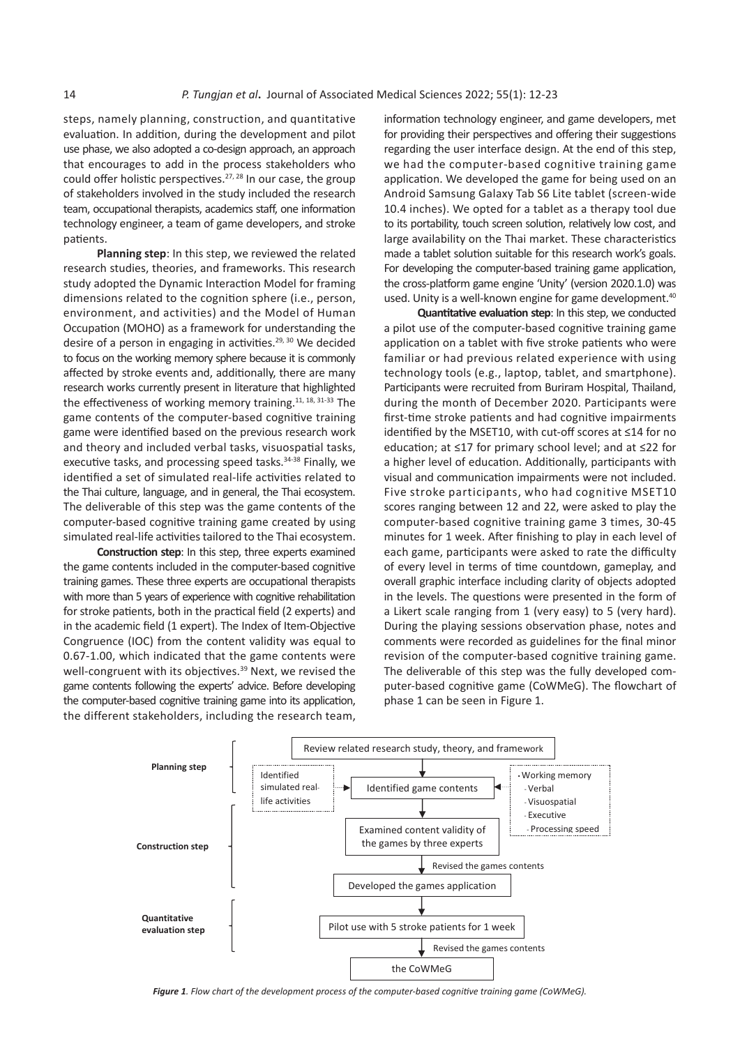steps, namely planning, construction, and quantitative evaluation. In addition, during the development and pilot use phase, we also adopted a co-design approach, an approach that encourages to add in the process stakeholders who could offer holistic perspectives.<sup>27, 28</sup> In our case, the group of stakeholders involved in the study included the research team, occupational therapists, academics staff, one information technology engineer, a team of game developers, and stroke patients.

**Planning step**: In this step, we reviewed the related research studies, theories, and frameworks. This research study adopted the Dynamic Interaction Model for framing dimensions related to the cognition sphere (i.e., person, environment, and activities) and the Model of Human Occupation (MOHO) as a framework for understanding the desire of a person in engaging in activities.<sup>29, 30</sup> We decided to focus on the working memory sphere because it is commonly affected by stroke events and, additionally, there are many research works currently present in literature that highlighted the effectiveness of working memory training.<sup>11, 18, 31-33</sup> The game contents of the computer-based cognitive training game were identified based on the previous research work and theory and included verbal tasks, visuospatial tasks, executive tasks, and processing speed tasks.<sup>34-38</sup> Finally, we identified a set of simulated real-life activities related to the Thai culture, language, and in general, the Thai ecosystem. The deliverable of this step was the game contents of the computer-based cognitive training game created by using simulated real-life activities tailored to the Thai ecosystem.

**Construction step**: In this step, three experts examined the game contents included in the computer-based cognitive training games. These three experts are occupational therapists with more than 5 years of experience with cognitive rehabilitation for stroke patients, both in the practical field (2 experts) and in the academic field (1 expert). The Index of Item-Objective Congruence (IOC) from the content validity was equal to congruence (i.e.) from the content validity was equal to comments were recorded as galuentes for the million of the difference in the million of the computer-based cognitive training to the computer-based cognitive trainin oro 1.00, which malcated that the game contents were the revision of the computer-based cognitive training well-<br>well-congruent with its objectives.<sup>39</sup> Next, we revised the The deliverable of this step was the fully devel game contents following the experts' advice. Before developing the computer-based cognitive training game into its application, phase 1 can be seen in Figure 1. the different stakeholders, including the research team, the different stakeholders, including the research team,

information technology engineer, and game developers, met for providing their perspectives and offering their suggestions regarding the user interface design. At the end of this step, we had the computer-based cognitive training game application. We developed the game for being used on an Android Samsung Galaxy Tab S6 Lite tablet (screen-wide 10.4 inches). We opted for a tablet as a therapy tool due to its portability, touch screen solution, relatively low cost, and large availability on the Thai market. These characteristics made a tablet solution suitable for this research work's goals. For developing the computer-based training game application, the cross-platform game engine 'Unity' (version 2020.1.0) was used. Unity is a well-known engine for game development.<sup>40</sup>

**Quantitative evaluation step**: In this step, we conducted a pilot use of the computer-based cognitive training game application on a tablet with five stroke patients who were familiar or had previous related experience with using technology tools (e.g., laptop, tablet, and smartphone). Participants were recruited from Buriram Hospital, Thailand, during the month of December 2020. Participants were first-time stroke patients and had cognitive impairments identified by the MSET10, with cut-off scores at ≤14 for no education; at ≤17 for primary school level; and at ≤22 for a higher level of education. Additionally, participants with visual and communication impairments were not included. Five stroke participants, who had cognitive MSET10 scores ranging between 12 and 22, were asked to play the computer-based cognitive training game 3 times, 30-45 minutes for 1 week. After finishing to play in each level of each game, participants were asked to rate the difficulty of every level in terms of time countdown, gameplay, and ames. These three experts are occupational therapists overall graphic interface including clarity of objects adopted e than 5 years of experience with cognitive rehabilitation in the levels. The questions were presented in the form of e patients, both in the practical field (2 experts) and <br>
a Likert scale ranging from 1 (very easy) to 5 (very hard). ademic field (1 expert). The Index of Item-Objective During the playing sessions observation phase, notes and <br>45 Minutes were asked to rate to rate to rate to rate to rate to rate to rate to rate to rate to rate to rate comments were recorded as guidelines for the final minor revision of the computer-based cognitive training game. The deliverable of this step was the fully developed comproche marries suppositions. The fighted comments were also the demonstrate of this step mas the range decreased comments following the experts' advice. Before developing puter-based cognitive game (COWMeG). The flowchart phase 1 can be seen in Figure 1.



*Figure 1. Flow chart of the development process of the computer-based cognitive training game (CoWMeG).*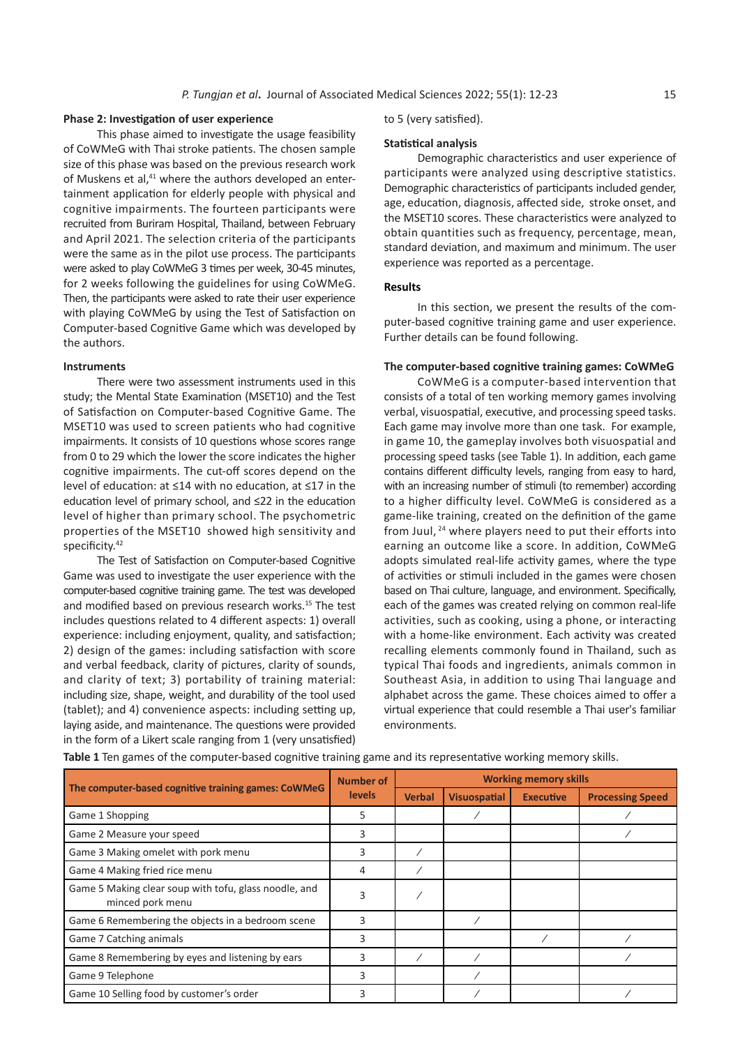#### **Phase 2: Investigation of user experience**

This phase aimed to investigate the usage feasibility of CoWMeG with Thai stroke patients. The chosen sample size of this phase was based on the previous research work of Muskens et al, $41$  where the authors developed an entertainment application for elderly people with physical and cognitive impairments. The fourteen participants were recruited from Buriram Hospital, Thailand, between February and April 2021. The selection criteria of the participants were the same as in the pilot use process. The participants were asked to play CoWMeG 3 times per week, 30-45 minutes, for 2 weeks following the guidelines for using CoWMeG. Then, the participants were asked to rate their user experience with playing CoWMeG by using the Test of Satisfaction on Computer-based Cognitive Game which was developed by the authors.

#### **Instruments**

There were two assessment instruments used in this study; the Mental State Examination (MSET10) and the Test of Satisfaction on Computer-based Cognitive Game. The MSET10 was used to screen patients who had cognitive impairments. It consists of 10 questions whose scores range from 0 to 29 which the lower the score indicates the higher cognitive impairments. The cut-off scores depend on the level of education: at ≤14 with no education, at ≤17 in the education level of primary school, and ≤22 in the education level of higher than primary school. The psychometric properties of the MSET10 showed high sensitivity and specificity.<sup>42</sup>

The Test of Satisfaction on Computer-based Cognitive Game was used to investigate the user experience with the computer-based cognitive training game. The test was developed and modified based on previous research works.<sup>15</sup> The test includes questions related to 4 different aspects: 1) overall experience: including enjoyment, quality, and satisfaction; 2) design of the games: including satisfaction with score and verbal feedback, clarity of pictures, clarity of sounds, and clarity of text; 3) portability of training material: including size, shape, weight, and durability of the tool used (tablet); and 4) convenience aspects: including setting up, laying aside, and maintenance. The questions were provided in the form of a Likert scale ranging from 1 (very unsatisfied)

to 5 (very satisfied).

#### **Statistical analysis**

Demographic characteristics and user experience of participants were analyzed using descriptive statistics. Demographic characteristics of participants included gender, age, education, diagnosis, affected side, stroke onset, and the MSET10 scores. These characteristics were analyzed to obtain quantities such as frequency, percentage, mean, standard deviation, and maximum and minimum. The user experience was reported as a percentage.

#### **Results**

In this section, we present the results of the computer-based cognitive training game and user experience. Further details can be found following.

#### **The computer-based cognitive training games: CoWMeG**

CoWMeG is a computer-based intervention that consists of a total of ten working memory games involving verbal, visuospatial, executive, and processing speed tasks. Each game may involve more than one task. For example, in game 10, the gameplay involves both visuospatial and processing speed tasks (see Table 1). In addition, each game contains different difficulty levels, ranging from easy to hard, with an increasing number of stimuli (to remember) according to a higher difficulty level. CoWMeG is considered as a game-like training, created on the definition of the game from Juul, <sup>24</sup> where players need to put their efforts into earning an outcome like a score. In addition, CoWMeG adopts simulated real-life activity games, where the type of activities or stimuli included in the games were chosen based on Thai culture, language, and environment. Specifically, each of the games was created relying on common real-life activities, such as cooking, using a phone, or interacting with a home-like environment. Each activity was created recalling elements commonly found in Thailand, such as typical Thai foods and ingredients, animals common in Southeast Asia, in addition to using Thai language and alphabet across the game. These choices aimed to offer a virtual experience that could resemble a Thai user's familiar environments.

|                                                                           | <b>Number of</b> | <b>Working memory skills</b> |                     |                  |                         |
|---------------------------------------------------------------------------|------------------|------------------------------|---------------------|------------------|-------------------------|
| The computer-based cognitive training games: CoWMeG                       | <b>levels</b>    | <b>Verbal</b>                | <b>Visuospatial</b> | <b>Executive</b> | <b>Processing Speed</b> |
| Game 1 Shopping                                                           | 5                |                              |                     |                  |                         |
| Game 2 Measure your speed                                                 | 3                |                              |                     |                  |                         |
| Game 3 Making omelet with pork menu                                       | 3                |                              |                     |                  |                         |
| Game 4 Making fried rice menu                                             | 4                |                              |                     |                  |                         |
| Game 5 Making clear soup with tofu, glass noodle, and<br>minced pork menu | 3                |                              |                     |                  |                         |
| Game 6 Remembering the objects in a bedroom scene                         | 3                |                              |                     |                  |                         |
| Game 7 Catching animals                                                   | 3                |                              |                     |                  |                         |
| Game 8 Remembering by eyes and listening by ears                          | 3                |                              |                     |                  |                         |
| Game 9 Telephone                                                          | 3                |                              |                     |                  |                         |
| Game 10 Selling food by customer's order                                  | 3                |                              |                     |                  |                         |

**Table 1** Ten games of the computer-based cognitive training game and its representative working memory skills.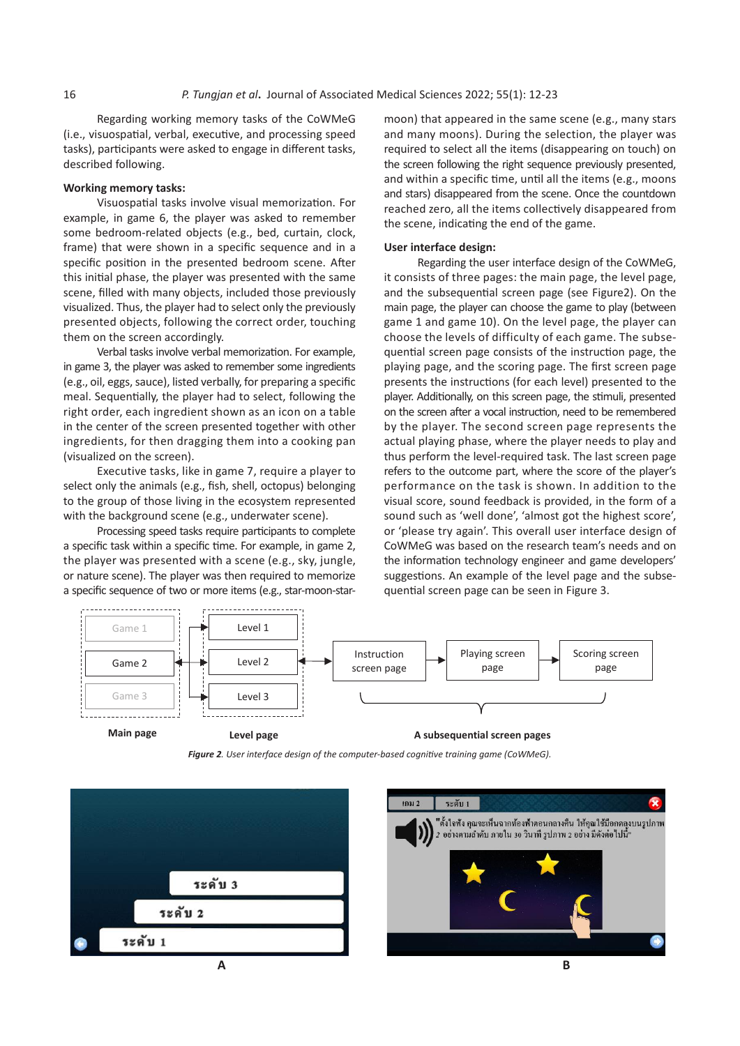Regarding working memory tasks of the CoWMeG (i.e., visuospatial, verbal, executive, and processing speed tasks), participants were asked to engage in different tasks, described following.

#### **Working memory tasks:**

Visuospatial tasks involve visual memorization. For example, in game 6, the player was asked to remember some bedroom-related objects (e.g., bed, curtain, clock, frame) that were shown in a specific sequence and in a specific position in the presented bedroom scene. After this initial phase, the player was presented with the same scene, filled with many objects, included those previously visualized. Thus, the player had to select only the previously presented objects, following the correct order, touching them on the screen accordingly.

Verbal tasks involve verbal memorization. For example, in game 3, the player was asked to remember some ingredients (e.g., oil, eggs, sauce), listed verbally, for preparing a specific meal. Sequentially, the player had to select, following the right order, each ingredient shown as an icon on a table in the center of the screen presented together with other ingredients, for then dragging them into a cooking pan (visualized on the screen).

Executive tasks, like in game 7, require a player to select only the animals (e.g., fish, shell, octopus) belonging to the group of those living in the ecosystem represented with the background scene (e.g., underwater scene).

Processing speed tasks require participants to complete a specific task within a specific time. For example, in game 2, the player was presented with a scene (e.g., sky, jungle, or nature scene). The player was then required to memorize a specific sequence of two or more items (e.g., star-moon-starmoon) that appeared in the same scene (e.g., many stars and many moons). During the selection, the player was required to select all the items (disappearing on touch) on the screen following the right sequence previously presented, and within a specific time, until all the items (e.g., moons and stars) disappeared from the scene. Once the countdown reached zero, all the items collectively disappeared from the scene, indicating the end of the game.

#### **User interface design:**

Regarding the user interface design of the CoWMeG, it consists of three pages: the main page, the level page, and the subsequential screen page (see Figure2). On the main page, the player can choose the game to play (between game 1 and game 10). On the level page, the player can choose the levels of difficulty of each game. The subsequential screen page consists of the instruction page, the playing page, and the scoring page. The first screen page presents the instructions (for each level) presented to the player. Additionally, on this screen page, the stimuli, presented on the screen after a vocal instruction, need to be remembered by the player. The second screen page represents the actual playing phase, where the player needs to play and thus perform the level-required task. The last screen page refers to the outcome part, where the score of the player's performance on the task is shown. In addition to the visual score, sound feedback is provided, in the form of a sound such as 'well done', 'almost got the highest score', or 'please try again'. This overall user interface design of CoWMeG was based on the research team's needs and on the information technology engineer and game developers' suggestions. An example of the level page and the subsequential screen page can be seen in Figure 3.



**Main page**

*Figure 2. User interface design of the computer-based cognitive training game (CoWMeG).*



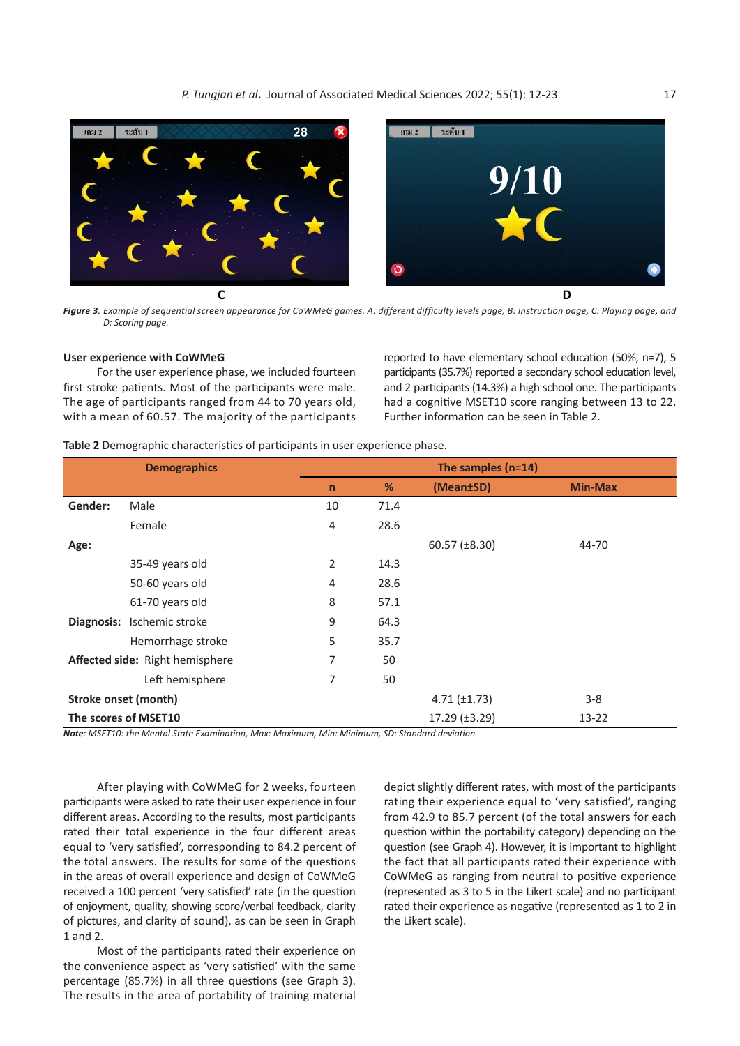

**Figure 3**. Example of sequential screen appearance for CoWMeG games. A: different difficulty levels page, B: Instruction page, C: Playing page, and *D: Scoring page.*

#### **User experience with CoWMeG**

first stroke patients. Most of the participants were male. with a mean of 60.57. The majority of the participants Further information can be seen in Table 2. For the user experience phase, we included fourteen The age of participants ranged from 44 to 70 years old,

of participants ranged from 44 to 70 years old, had a cognitive MSET10 score ranging between 13 to 22. reported to have elementary school education (50%, n=7), 5 participants (35.7%) reported a secondary school education level, and 2 participants (14.3%) a high school one. The participants Further information can be seen in Table 2.

participants reported to have elementary school education (50%, n  $\frac{1}{2}$ , n  $\frac{1}{2}$ , n  $\frac{1}{2}$ , n  $\frac{1}{2}$ , n  $\frac{1}{2}$ , n  $\frac{1}{2}$ , n  $\frac{1}{2}$ , n  $\frac{1}{2}$ , n  $\frac{1}{2}$ , n  $\frac{1}{2}$ , n  $\frac{1}{2}$ , n  $\frac{1}{2}$ , n

| <b>Demographics</b>  |                                 | The samples (n=14) |      |                   |                |  |  |
|----------------------|---------------------------------|--------------------|------|-------------------|----------------|--|--|
|                      |                                 | $\mathsf{n}$       | %    | (Mean±SD)         | <b>Min-Max</b> |  |  |
| Gender:              | Male                            | 10                 | 71.4 |                   |                |  |  |
|                      | Female                          | 4                  | 28.6 |                   |                |  |  |
| Age:                 |                                 |                    |      | $60.57$ (±8.30)   | 44-70          |  |  |
|                      | 35-49 years old                 | 2                  | 14.3 |                   |                |  |  |
|                      | 50-60 years old                 | $\overline{4}$     | 28.6 |                   |                |  |  |
|                      | 61-70 years old                 | 8                  | 57.1 |                   |                |  |  |
|                      | Diagnosis: Ischemic stroke      | 9                  | 64.3 |                   |                |  |  |
|                      | Hemorrhage stroke               | 5                  | 35.7 |                   |                |  |  |
|                      | Affected side: Right hemisphere | 7                  | 50   |                   |                |  |  |
|                      | Left hemisphere                 | 7                  | 50   |                   |                |  |  |
| Stroke onset (month) |                                 |                    |      | $4.71 (\pm 1.73)$ | $3 - 8$        |  |  |
|                      | The scores of MSET10            |                    |      | 17.29 (±3.29)     | $13 - 22$      |  |  |

35-49 years old 2 14.3 *Note: MSET10: the Mental State Examination, Max: Maximum, Min: Minimum, SD: Standard deviation*

After playing with CoWMeG for 2 weeks, fourteen and epict s participants were asked to rate their user experience in four the rating to<br>different areas. According to the results, most participants from 42 affected their total experience in the four different areas equal to 'very satisfied', corresponding to 84.2 percent of the total answers. The results for some of the questions but the fact that all participants rated their exper in the areas of overall experience and design of CoWMeG CoWMeG as ranging from neutral to positive experience and of enjoyment, quality, showing score/verbal feedback, clarity arated their experience as negative (represented as participants were asked to rate their user experience in four received a 100 percent 'very satisfied' rate (in the question of pictures, and clarity of sound), as can be seen in Graph 1 and 2.

with Cowmediate their experience on<br>the convenience aspect as 'very satisfied' with the same four different areas. According to the results, most participants rated the four total experience in the four p<br>percentage (85.7%) in all three questions (see Graph 3). The results in the area of portability of training material corresponding to 84.2 percent of the total answers Most of the participants rated their experience on

50 question within the portability category) depending on the question (see Graph 4). However, it is important to highlight depict slightly different rates, with most of the participants rating their experience equal to 'very satisfied', ranging from 42.9 to 85.7 percent (of the total answers for each the fact that all participants rated their experience with CoWMeG as ranging from neutral to positive experience (represented as 3 to 5 in the Likert scale) and no participant rated their experience as negative (represented as 1 to 2 in the Likert scale).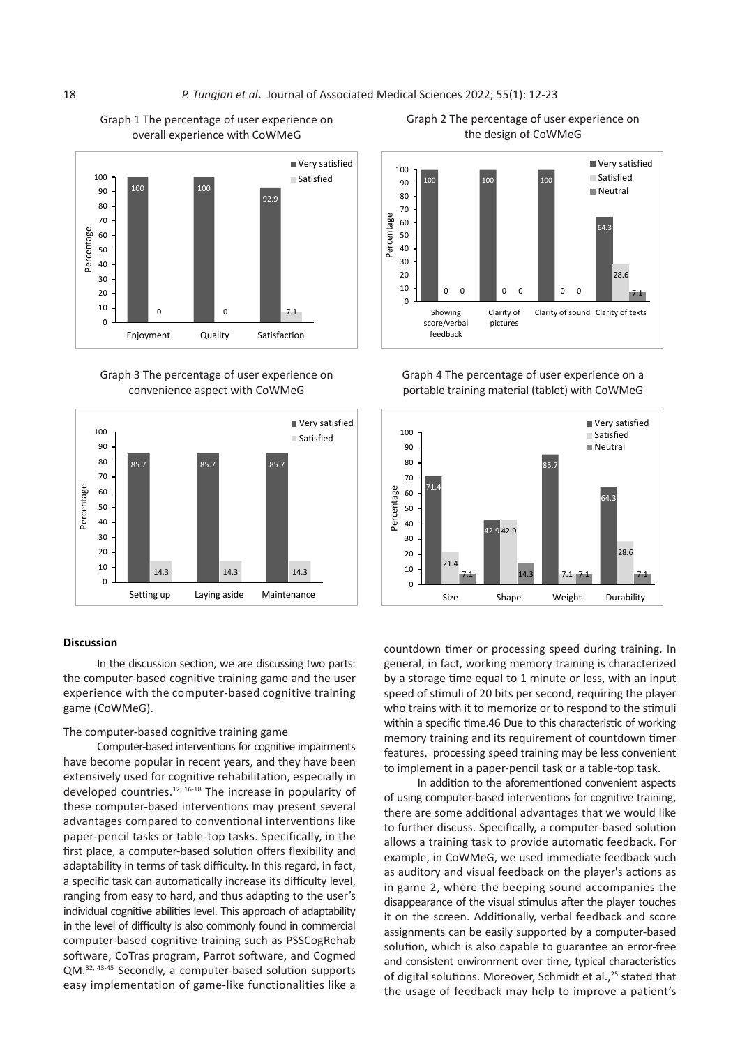#### 18 *P. Tungjan et al***.** Journal of Associated Medical Sciences 2022; 55(1): 12-23 **Graph 1** The percentage of user experience on *P. Tungjan et di*. Journal o **Graph 2** The percentage of user experience on the 2022; 55(1): 12-23



**Graph 1** The percentage of user experience on Graph 1 The percentage of user experience on

Graph 3 The percentage of user experience on **Graph 3** The percentage of user experience on convenience aspect with CoWMeG convenience aspect with CoWMeG



#### **Discussion**

In the discussion section, we are discussing two parts: the computer-based cognitive training game and the user experience with the computer-based cognitive training game (CoWMeG).

#### The computer-based cognitive training game

Computer-based interventions for cognitive impairments have become popular in recent years, and they have been **The computer-based cognitive training game** co implement in a paper-pencificask or a table-top task.<br>Lo addition to the aforementioned convenient arecent developed countries.<sup>12, 16-18</sup> The increase in popularity of  $\frac{1}{2}$  of using computer-based interventions for cognition. these computer-based interventions may present several advantages compared to conventional interventions like paper-pencil tasks or table-top tasks. Specifically, in the and was a training task to provide automatic reedback. For the first place, a computer-based solution offers flexibility and adaptability in CoMMAG we used immediate footback such adaptability in terms of task difficulty. In this regard, in fact,<br>as auditory and visual feedback on the player's actions a a specific task can automatically increase its difficulty level, ranging from easy to hard, and thus adapting to the user's individual cognitive abilities level. This approach of adaptability in the level of difficulty is also commonly found in commercial computer-based cognitive training such as PSSCogRehab solution which is also canable to guarantee an error-free software, CoTras program, Parrot software, and Cogmed QM.32, 43-45 Secondly, a computer-based solution supports easy implementation of game-like functionalities like a



**Graph 4** The percentage of user experience on a Graph 4 The percentage of user experience on a portable training material (tablet) with CoWMeG portable training material (tablet) with CoWMeG



countdown timer or processing speed during training. In general, in fact, working memory training is characterized by a storage time equal to 1 minute or less, with an input puter-based cognitive training game and the user the providge three equal to 1 minute of less, with an inputi<br>Ince with the computer-based cognitive training speed of stimuli of 20 bits per second, requiring the player ame (CoWMeG). within a specific time.46 Due to this characteristic of working memory training and its requirement of countdown timer features, processing speed training may be less convenient to implement in a paper-pencil task or a table-top task.

In addition to the aforementioned convenient aspects of using computer-based interventions for cognitive training, nese computer-based interventions may present several there are some additional advantages that we would like availages compared to conventional interventions like<br>aner-pencil tasks or table-top tasks. Specifically, in the first place of the first place, a computer-based solution allows a training task to provide automatic feedback. For example, in CoWMeG, we used immediate feedback such as auditory and visual feedback on the player's actions as specific task can automatically increase its difficulty level, in game 2, where the beeping sound accompanies the aignig from easy to hard, and thus adapting to the user state of the visual stimulus after the player touches<br>Idividual cognitive abilities level. This approach of adaptability **3** and the screen. Additionally, verbal feedback and score found in commercial second score supports and score assignments can be easily supported by a computer-based solution, which is also capable to guarantee an error-free oftware, Collras program, Parrot software, and Cogmed<br>was added by consistent environment over time, typical characteristics of digital solutions. Moreover, Schmidt et al.,<sup>25</sup> stated that it is exponentially the stimulated that the stimuli or to respond the stimuli or to respond the stimuling the stimuling of response or to the stimuling the st affle-fike functionalities like a line the usage of feedback may help to improve a patient's

**Graph 2** The percentage of user experience on the Graph 2 The percentage of user experience on e percentage or user experted<br>the design of CoWMeG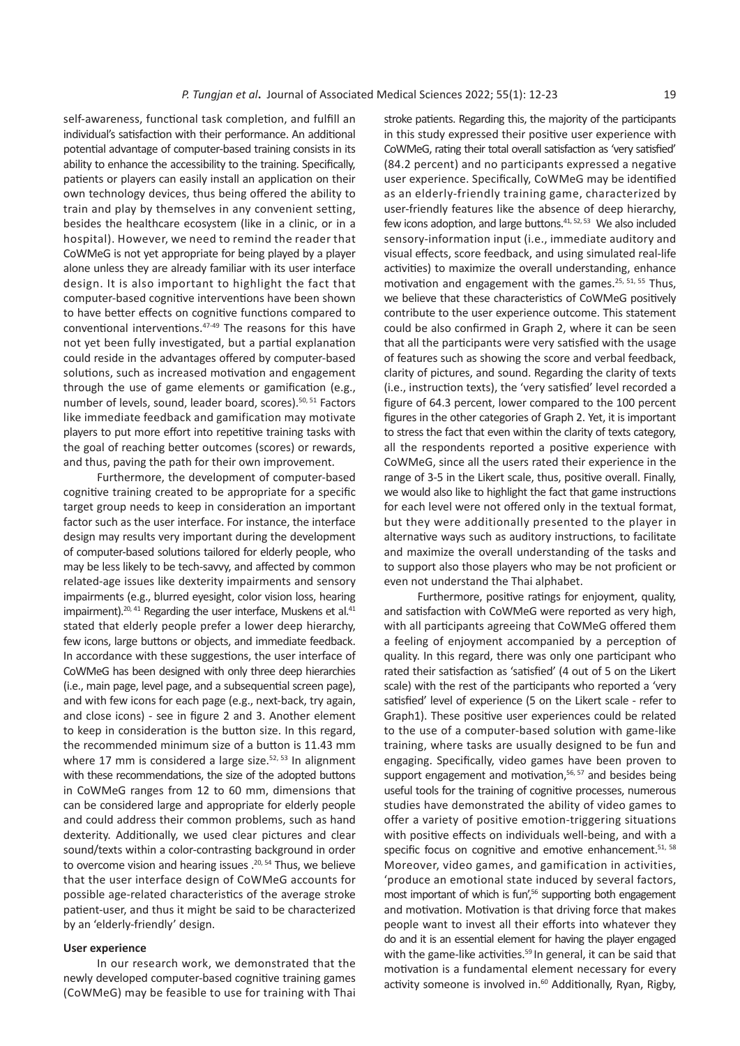self-awareness, functional task completion, and fulfill an individual's satisfaction with their performance. An additional potential advantage of computer-based training consists in its ability to enhance the accessibility to the training. Specifically, patients or players can easily install an application on their own technology devices, thus being offered the ability to train and play by themselves in any convenient setting, besides the healthcare ecosystem (like in a clinic, or in a hospital). However, we need to remind the reader that CoWMeG is not yet appropriate for being played by a player alone unless they are already familiar with its user interface design. It is also important to highlight the fact that computer-based cognitive interventions have been shown to have better effects on cognitive functions compared to conventional interventions.47-49 The reasons for this have not yet been fully investigated, but a partial explanation could reside in the advantages offered by computer-based solutions, such as increased motivation and engagement through the use of game elements or gamification (e.g., number of levels, sound, leader board, scores).<sup>50, 51</sup> Factors like immediate feedback and gamification may motivate players to put more effort into repetitive training tasks with the goal of reaching better outcomes (scores) or rewards, and thus, paving the path for their own improvement.

Furthermore, the development of computer-based cognitive training created to be appropriate for a specific target group needs to keep in consideration an important factor such as the user interface. For instance, the interface design may results very important during the development of computer-based solutions tailored for elderly people, who may be less likely to be tech-savvy, and affected by common related-age issues like dexterity impairments and sensory impairments (e.g., blurred eyesight, color vision loss, hearing impairment).<sup>20, 41</sup> Regarding the user interface, Muskens et al.<sup>41</sup> stated that elderly people prefer a lower deep hierarchy, few icons, large buttons or objects, and immediate feedback. In accordance with these suggestions, the user interface of CoWMeG has been designed with only three deep hierarchies (i.e., main page, level page, and a subsequential screen page), and with few icons for each page (e.g., next-back, try again, and close icons) - see in figure 2 and 3. Another element to keep in consideration is the button size. In this regard, the recommended minimum size of a button is 11.43 mm where 17 mm is considered a large size. $52, 53$  In alignment with these recommendations, the size of the adopted buttons in CoWMeG ranges from 12 to 60 mm, dimensions that can be considered large and appropriate for elderly people and could address their common problems, such as hand dexterity. Additionally, we used clear pictures and clear sound/texts within a color-contrasting background in order to overcome vision and hearing issues .<sup>20, 54</sup> Thus, we believe that the user interface design of CoWMeG accounts for possible age-related characteristics of the average stroke patient-user, and thus it might be said to be characterized by an 'elderly-friendly' design.

#### **User experience**

In our research work, we demonstrated that the newly developed computer-based cognitive training games (CoWMeG) may be feasible to use for training with Thai stroke patients. Regarding this, the majority of the participants in this study expressed their positive user experience with CoWMeG, rating their total overall satisfaction as 'very satisfied' (84.2 percent) and no participants expressed a negative user experience. Specifically, CoWMeG may be identified as an elderly-friendly training game, characterized by user-friendly features like the absence of deep hierarchy, few icons adoption, and large buttons.<sup>41, 52, 53</sup> We also included sensory-information input (i.e., immediate auditory and visual effects, score feedback, and using simulated real-life activities) to maximize the overall understanding, enhance motivation and engagement with the games.<sup>25, 51, 55</sup> Thus, we believe that these characteristics of CoWMeG positively contribute to the user experience outcome. This statement could be also confirmed in Graph 2, where it can be seen that all the participants were very satisfied with the usage of features such as showing the score and verbal feedback, clarity of pictures, and sound. Regarding the clarity of texts (i.e., instruction texts), the 'very satisfied' level recorded a figure of 64.3 percent, lower compared to the 100 percent figures in the other categories of Graph 2. Yet, it is important to stress the fact that even within the clarity of texts category, all the respondents reported a positive experience with CoWMeG, since all the users rated their experience in the range of 3-5 in the Likert scale, thus, positive overall. Finally, we would also like to highlight the fact that game instructions for each level were not offered only in the textual format, but they were additionally presented to the player in alternative ways such as auditory instructions, to facilitate and maximize the overall understanding of the tasks and to support also those players who may be not proficient or even not understand the Thai alphabet.

Furthermore, positive ratings for enjoyment, quality, and satisfaction with CoWMeG were reported as very high, with all participants agreeing that CoWMeG offered them a feeling of enjoyment accompanied by a perception of quality. In this regard, there was only one participant who rated their satisfaction as 'satisfied' (4 out of 5 on the Likert scale) with the rest of the participants who reported a 'very satisfied' level of experience (5 on the Likert scale - refer to Graph1). These positive user experiences could be related to the use of a computer-based solution with game-like training, where tasks are usually designed to be fun and engaging. Specifically, video games have been proven to support engagement and motivation,<sup>56, 57</sup> and besides being useful tools for the training of cognitive processes, numerous studies have demonstrated the ability of video games to offer a variety of positive emotion-triggering situations with positive effects on individuals well-being, and with a specific focus on cognitive and emotive enhancement.<sup>51, 58</sup> Moreover, video games, and gamification in activities, 'produce an emotional state induced by several factors, most important of which is fun',<sup>56</sup> supporting both engagement and motivation. Motivation is that driving force that makes people want to invest all their efforts into whatever they do and it is an essential element for having the player engaged with the game-like activities.<sup>59</sup> In general, it can be said that motivation is a fundamental element necessary for every activity someone is involved in.<sup>60</sup> Additionally, Ryan, Rigby,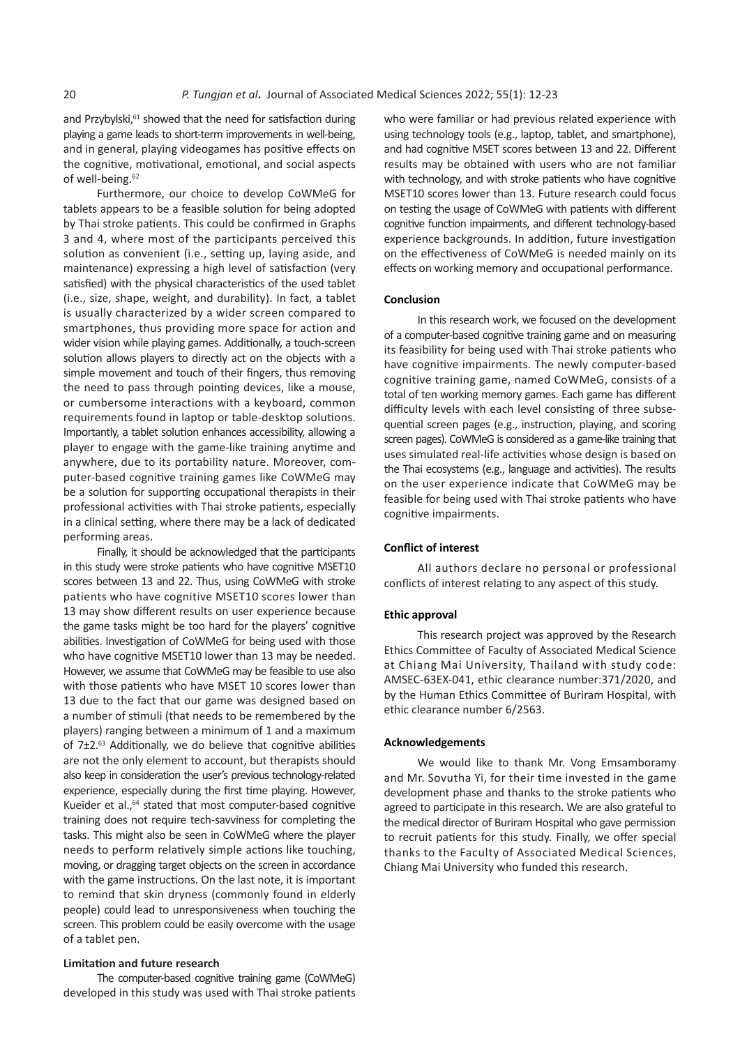and Przybylski,<sup>61</sup> showed that the need for satisfaction during playing a game leads to short-term improvements in well-being, and in general, playing videogames has positive effects on the cognitive, motivational, emotional, and social aspects of well-being.<sup>62</sup>

Furthermore, our choice to develop CoWMeG for tablets appears to be a feasible solution for being adopted by Thai stroke patients. This could be confirmed in Graphs 3 and 4, where most of the participants perceived this solution as convenient (i.e., setting up, laying aside, and maintenance) expressing a high level of satisfaction (very satisfied) with the physical characteristics of the used tablet (i.e., size, shape, weight, and durability). In fact, a tablet is usually characterized by a wider screen compared to smartphones, thus providing more space for action and wider vision while playing games. Additionally, a touch-screen solution allows players to directly act on the objects with a simple movement and touch of their fingers, thus removing the need to pass through pointing devices, like a mouse, or cumbersome interactions with a keyboard, common requirements found in laptop or table-desktop solutions. Importantly, a tablet solution enhances accessibility, allowing a player to engage with the game-like training anytime and anywhere, due to its portability nature. Moreover, computer-based cognitive training games like CoWMeG may be a solution for supporting occupational therapists in their professional activities with Thai stroke patients, especially in a clinical setting, where there may be a lack of dedicated performing areas.

Finally, it should be acknowledged that the participants in this study were stroke patients who have cognitive MSET10 scores between 13 and 22. Thus, using CoWMeG with stroke patients who have cognitive MSET10 scores lower than 13 may show different results on user experience because the game tasks might be too hard for the players' cognitive abilities. Investigation of CoWMeG for being used with those who have cognitive MSET10 lower than 13 may be needed. However, we assume that CoWMeG may be feasible to use also with those patients who have MSET 10 scores lower than 13 due to the fact that our game was designed based on a number of stimuli (that needs to be remembered by the players) ranging between a minimum of 1 and a maximum of 7±2.<sup>63</sup> Additionally, we do believe that cognitive abilities are not the only element to account, but therapists should also keep in consideration the user's previous technology-related experience, especially during the first time playing. However, Kueider et al.,<sup>64</sup> stated that most computer-based cognitive training does not require tech-savviness for completing the tasks. This might also be seen in CoWMeG where the player needs to perform relatively simple actions like touching, moving, or dragging target objects on the screen in accordance with the game instructions. On the last note, it is important to remind that skin dryness (commonly found in elderly people) could lead to unresponsiveness when touching the screen. This problem could be easily overcome with the usage of a tablet pen.

#### **Limitation and future research**

The computer-based cognitive training game (CoWMeG) developed in this study was used with Thai stroke patients who were familiar or had previous related experience with using technology tools (e.g., laptop, tablet, and smartphone), and had cognitive MSET scores between 13 and 22. Different results may be obtained with users who are not familiar with technology, and with stroke patients who have cognitive MSET10 scores lower than 13. Future research could focus on testing the usage of CoWMeG with patients with different cognitive function impairments, and different technology-based experience backgrounds. In addition, future investigation on the effectiveness of CoWMeG is needed mainly on its effects on working memory and occupational performance.

#### **Conclusion**

In this research work, we focused on the development of a computer-based cognitive training game and on measuring its feasibility for being used with Thai stroke patients who have cognitive impairments. The newly computer-based cognitive training game, named CoWMeG, consists of a total of ten working memory games. Each game has different difficulty levels with each level consisting of three subsequential screen pages (e.g., instruction, playing, and scoring screen pages). CoWMeG is considered as a game-like training that uses simulated real-life activities whose design is based on the Thai ecosystems (e.g., language and activities). The results on the user experience indicate that CoWMeG may be feasible for being used with Thai stroke patients who have cognitive impairments.

#### **Conflict of interest**

All authors declare no personal or professional conflicts of interest relating to any aspect of this study.

#### **Ethic approval**

This research project was approved by the Research Ethics Committee of Faculty of Associated Medical Science at Chiang Mai University, Thailand with study code: AMSEC-63EX-041, ethic clearance number:371/2020, and by the Human Ethics Committee of Buriram Hospital, with ethic clearance number 6/2563.

#### **Acknowledgements**

We would like to thank Mr. Vong Emsamboramy and Mr. Sovutha Yi, for their time invested in the game development phase and thanks to the stroke patients who agreed to participate in this research. We are also grateful to the medical director of Buriram Hospital who gave permission to recruit patients for this study. Finally, we offer special thanks to the Faculty of Associated Medical Sciences, Chiang Mai University who funded this research.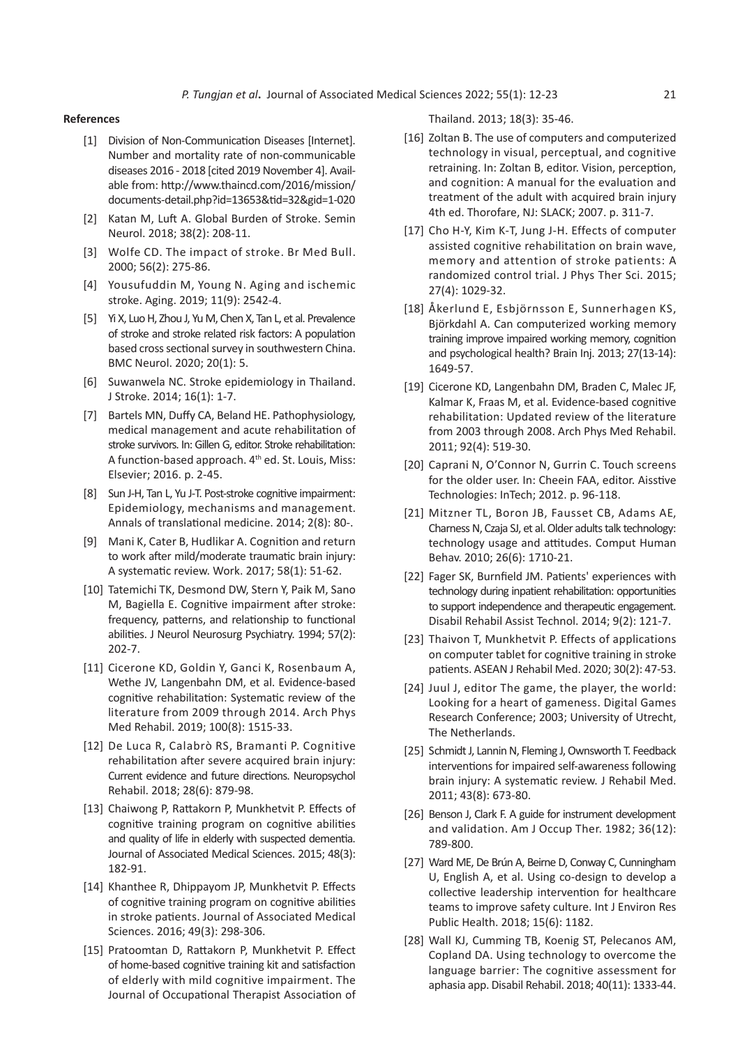#### **References**

- [1] Division of Non-Communication Diseases [Internet]. Number and mortality rate of non-communicable diseases 2016 - 2018 [cited 2019 November 4]. Available from: http://www.thaincd.com/2016/mission/ documents-detail.php?id=13653&tid=32&gid=1-020
- [2] Katan M, Luft A. Global Burden of Stroke. Semin Neurol. 2018; 38(2): 208-11.
- [3] Wolfe CD. The impact of stroke. Br Med Bull. 2000; 56(2): 275-86.
- [4] Yousufuddin M, Young N. Aging and ischemic stroke. Aging. 2019; 11(9): 2542-4.
- [5] Yi X, Luo H, Zhou J, Yu M, Chen X, Tan L, et al. Prevalence of stroke and stroke related risk factors: A population based cross sectional survey in southwestern China. BMC Neurol. 2020; 20(1): 5.
- [6] Suwanwela NC. Stroke epidemiology in Thailand. J Stroke. 2014; 16(1): 1-7.
- [7] Bartels MN, Duffy CA, Beland HE. Pathophysiology, medical management and acute rehabilitation of stroke survivors. In: Gillen G, editor. Stroke rehabilitation: A function-based approach. 4<sup>th</sup> ed. St. Louis, Miss: Elsevier; 2016. p. 2-45.
- [8] Sun J-H, Tan L, Yu J-T. Post-stroke cognitive impairment: Epidemiology, mechanisms and management. Annals of translational medicine. 2014; 2(8): 80-.
- [9] Mani K, Cater B, Hudlikar A. Cognition and return to work after mild/moderate traumatic brain injury: A systematic review. Work. 2017; 58(1): 51-62.
- [10] Tatemichi TK, Desmond DW, Stern Y, Paik M, Sano M, Bagiella E. Cognitive impairment after stroke: frequency, patterns, and relationship to functional abilities. J Neurol Neurosurg Psychiatry. 1994; 57(2): 202-7.
- [11] Cicerone KD, Goldin Y, Ganci K, Rosenbaum A, Wethe JV, Langenbahn DM, et al. Evidence-based cognitive rehabilitation: Systematic review of the literature from 2009 through 2014. Arch Phys Med Rehabil. 2019; 100(8): 1515-33.
- [12] De Luca R, Calabrò RS, Bramanti P. Cognitive rehabilitation after severe acquired brain injury: Current evidence and future directions. Neuropsychol Rehabil. 2018; 28(6): 879-98.
- [13] Chaiwong P, Rattakorn P, Munkhetvit P. Effects of cognitive training program on cognitive abilities and quality of life in elderly with suspected dementia. Journal of Associated Medical Sciences. 2015; 48(3): 182-91.
- [14] Khanthee R, Dhippayom JP, Munkhetvit P. Effects of cognitive training program on cognitive abilities in stroke patients. Journal of Associated Medical Sciences. 2016; 49(3): 298-306.
- [15] Pratoomtan D, Rattakorn P, Munkhetvit P. Effect of home-based cognitive training kit and satisfaction of elderly with mild cognitive impairment. The Journal of Occupational Therapist Association of

Thailand. 2013; 18(3): 35-46.

- [16] Zoltan B. The use of computers and computerized technology in visual, perceptual, and cognitive retraining. In: Zoltan B, editor. Vision, perception, and cognition: A manual for the evaluation and treatment of the adult with acquired brain injury 4th ed. Thorofare, NJ: SLACK; 2007. p. 311-7.
- [17] Cho H-Y, Kim K-T, Jung J-H. Effects of computer assisted cognitive rehabilitation on brain wave, memory and attention of stroke patients: A randomized control trial. J Phys Ther Sci. 2015; 27(4): 1029-32.
- [18] Åkerlund E, Esbjörnsson E, Sunnerhagen KS, Björkdahl A. Can computerized working memory training improve impaired working memory, cognition and psychological health? Brain Inj. 2013; 27(13-14): 1649-57.
- [19] Cicerone KD, Langenbahn DM, Braden C, Malec JF, Kalmar K, Fraas M, et al. Evidence-based cognitive rehabilitation: Updated review of the literature from 2003 through 2008. Arch Phys Med Rehabil. 2011; 92(4): 519-30.
- [20] Caprani N, O'Connor N, Gurrin C. Touch screens for the older user. In: Cheein FAA, editor. Aisstive Technologies: InTech; 2012. p. 96-118.
- [21] Mitzner TL, Boron JB, Fausset CB, Adams AE, Charness N, Czaja SJ, et al. Older adults talk technology: technology usage and attitudes. Comput Human Behav. 2010; 26(6): 1710-21.
- [22] Fager SK, Burnfield JM. Patients' experiences with technology during inpatient rehabilitation: opportunities to support independence and therapeutic engagement. Disabil Rehabil Assist Technol. 2014; 9(2): 121-7.
- [23] Thaivon T, Munkhetvit P. Effects of applications on computer tablet for cognitive training in stroke patients. ASEAN J Rehabil Med. 2020; 30(2): 47-53.
- [24] Juul J, editor The game, the player, the world: Looking for a heart of gameness. Digital Games Research Conference; 2003; University of Utrecht, The Netherlands.
- [25] Schmidt J, Lannin N, Fleming J, Ownsworth T. Feedback interventions for impaired self-awareness following brain injury: A systematic review. J Rehabil Med. 2011; 43(8): 673-80.
- [26] Benson J, Clark F. A guide for instrument development and validation. Am J Occup Ther. 1982; 36(12): 789-800.
- [27] Ward ME, De Brún A, Beirne D, Conway C, Cunningham U, English A, et al. Using co-design to develop a collective leadership intervention for healthcare teams to improve safety culture. Int J Environ Res Public Health. 2018; 15(6): 1182.
- [28] Wall KJ, Cumming TB, Koenig ST, Pelecanos AM, Copland DA. Using technology to overcome the language barrier: The cognitive assessment for aphasia app. Disabil Rehabil. 2018; 40(11): 1333-44.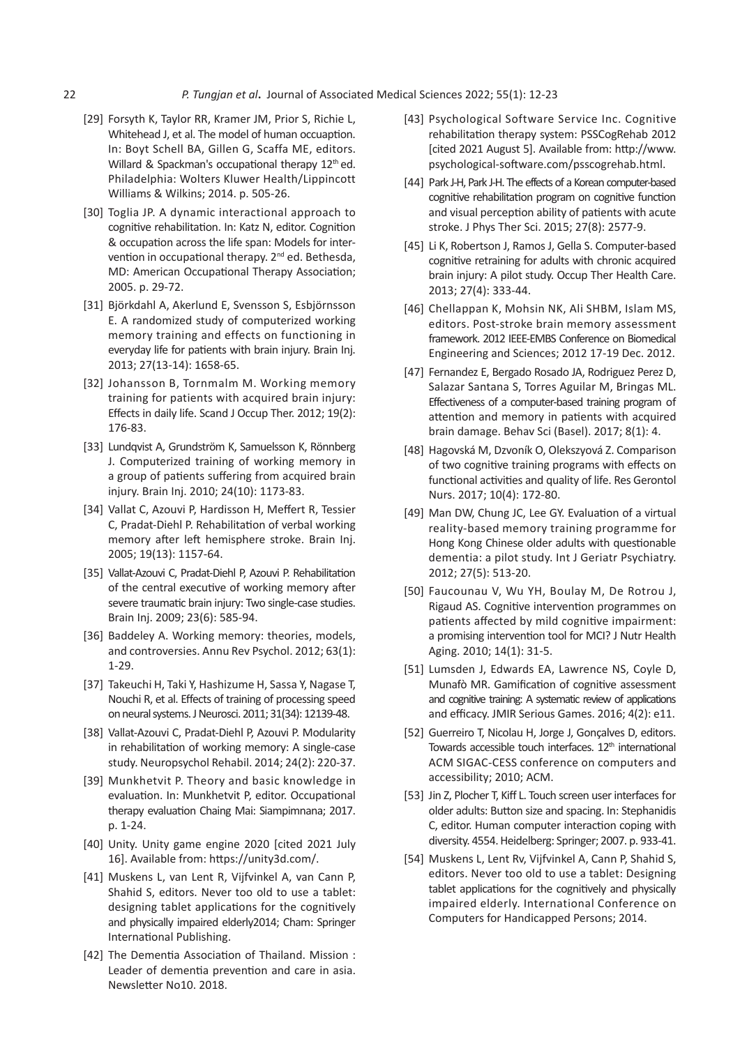- [29] Forsyth K, Taylor RR, Kramer JM, Prior S, Richie L, Whitehead J, et al. The model of human occuaption. In: Boyt Schell BA, Gillen G, Scaffa ME, editors. Willard & Spackman's occupational therapy 12<sup>th</sup> ed. Philadelphia: Wolters Kluwer Health/Lippincott Williams & Wilkins; 2014. p. 505-26.
- [30] Toglia JP. A dynamic interactional approach to cognitive rehabilitation. In: Katz N, editor. Cognition & occupation across the life span: Models for intervention in occupational therapy. 2<sup>nd</sup> ed. Bethesda, MD: American Occupational Therapy Association; 2005. p. 29-72.
- [31] Björkdahl A, Akerlund E, Svensson S, Esbjörnsson E. A randomized study of computerized working memory training and effects on functioning in everyday life for patients with brain injury. Brain Inj. 2013; 27(13-14): 1658-65.
- [32] Johansson B, Tornmalm M. Working memory training for patients with acquired brain injury: Effects in daily life. Scand J Occup Ther. 2012; 19(2): 176-83.
- [33] Lundqvist A, Grundström K, Samuelsson K, Rönnberg J. Computerized training of working memory in a group of patients suffering from acquired brain injury. Brain Inj. 2010; 24(10): 1173-83.
- [34] Vallat C, Azouvi P, Hardisson H, Meffert R, Tessier C, Pradat-Diehl P. Rehabilitation of verbal working memory after left hemisphere stroke. Brain Inj. 2005; 19(13): 1157-64.
- [35] Vallat-Azouvi C, Pradat-Diehl P, Azouvi P. Rehabilitation of the central executive of working memory after severe traumatic brain injury: Two single-case studies. Brain Inj. 2009; 23(6): 585-94.
- [36] Baddeley A. Working memory: theories, models, and controversies. Annu Rev Psychol. 2012; 63(1): 1-29.
- [37] Takeuchi H, Taki Y, Hashizume H, Sassa Y, Nagase T, Nouchi R, et al. Effects of training of processing speed on neural systems. J Neurosci. 2011; 31(34): 12139-48.
- [38] Vallat-Azouvi C, Pradat-Diehl P, Azouvi P. Modularity in rehabilitation of working memory: A single-case study. Neuropsychol Rehabil. 2014; 24(2): 220-37.
- [39] Munkhetvit P. Theory and basic knowledge in evaluation. In: Munkhetvit P, editor. Occupational therapy evaluation Chaing Mai: Siampimnana; 2017. p. 1-24.
- [40] Unity. Unity game engine 2020 [cited 2021 July 16]. Available from: https://unity3d.com/.
- [41] Muskens L, van Lent R, Vijfvinkel A, van Cann P, Shahid S, editors. Never too old to use a tablet: designing tablet applications for the cognitively and physically impaired elderly2014; Cham: Springer International Publishing.
- [42] The Dementia Association of Thailand. Mission : Leader of dementia prevention and care in asia. Newsletter No10. 2018.
- [43] Psychological Software Service Inc. Cognitive rehabilitation therapy system: PSSCogRehab 2012 [cited 2021 August 5]. Available from: http://www. psychological-software.com/psscogrehab.html.
- [44] Park J-H, Park J-H. The effects of a Korean computer-based cognitive rehabilitation program on cognitive function and visual perception ability of patients with acute stroke. J Phys Ther Sci. 2015; 27(8): 2577-9.
- [45] Li K, Robertson J, Ramos J, Gella S. Computer-based cognitive retraining for adults with chronic acquired brain injury: A pilot study. Occup Ther Health Care. 2013; 27(4): 333-44.
- [46] Chellappan K, Mohsin NK, Ali SHBM, Islam MS, editors. Post-stroke brain memory assessment framework. 2012 IEEE-EMBS Conference on Biomedical Engineering and Sciences; 2012 17-19 Dec. 2012.
- [47] Fernandez E, Bergado Rosado JA, Rodriguez Perez D, Salazar Santana S, Torres Aguilar M, Bringas ML. Effectiveness of a computer-based training program of attention and memory in patients with acquired brain damage. Behav Sci (Basel). 2017; 8(1): 4.
- [48] Hagovská M, Dzvoník O, Olekszyová Z. Comparison of two cognitive training programs with effects on functional activities and quality of life. Res Gerontol Nurs. 2017; 10(4): 172-80.
- [49] Man DW, Chung JC, Lee GY, Evaluation of a virtual reality-based memory training programme for Hong Kong Chinese older adults with questionable dementia: a pilot study. Int J Geriatr Psychiatry. 2012; 27(5): 513-20.
- [50] Faucounau V, Wu YH, Boulay M, De Rotrou J, Rigaud AS. Cognitive intervention programmes on patients affected by mild cognitive impairment: a promising intervention tool for MCI? J Nutr Health Aging. 2010; 14(1): 31-5.
- [51] Lumsden J, Edwards EA, Lawrence NS, Coyle D, Munafò MR. Gamification of cognitive assessment and cognitive training: A systematic review of applications and efficacy. JMIR Serious Games. 2016; 4(2): e11.
- [52] Guerreiro T, Nicolau H, Jorge J, Gonçalves D, editors. Towards accessible touch interfaces. 12<sup>th</sup> international ACM SIGAC-CESS conference on computers and accessibility; 2010; ACM.
- [53] Jin Z, Plocher T, Kiff L. Touch screen user interfaces for older adults: Button size and spacing. In: Stephanidis C, editor. Human computer interaction coping with diversity. 4554. Heidelberg: Springer; 2007. p. 933-41.
- [54] Muskens L, Lent Rv, Vijfvinkel A, Cann P, Shahid S, editors. Never too old to use a tablet: Designing tablet applications for the cognitively and physically impaired elderly. International Conference on Computers for Handicapped Persons; 2014.